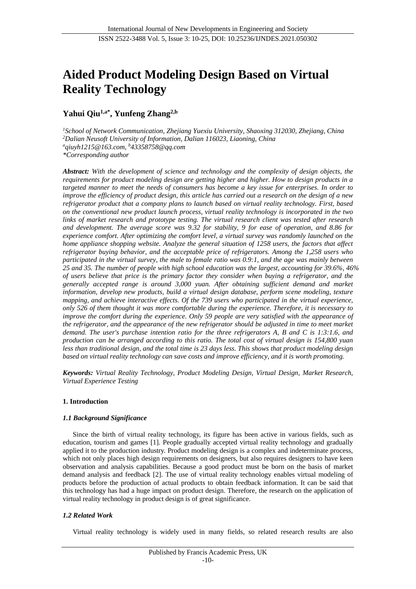# **Aided Product Modeling Design Based on Virtual Reality Technology**

## **Yahui Qiu1,a\* , Yunfeng Zhang2,b**

*<sup>1</sup>School of Network Communication, Zhejiang Yuexiu University, Shaoxing 312030, Zhejiang, China <sup>2</sup>Dalian Neusoft University of Information, Dalian 116023, Liaoning, China <sup>a</sup>qiuyh1215@163.com, <sup>b</sup>43358758@qq.com \*Corresponding author*

*Abstract: With the development of science and technology and the complexity of design objects, the requirements for product modeling design are getting higher and higher. How to design products in a targeted manner to meet the needs of consumers has become a key issue for enterprises. In order to improve the efficiency of product design, this article has carried out a research on the design of a new refrigerator product that a company plans to launch based on virtual reality technology. First, based on the conventional new product launch process, virtual reality technology is incorporated in the two links of market research and prototype testing. The virtual research client was tested after research and development. The average score was 9.32 for stability, 9 for ease of operation, and 8.86 for experience comfort. After optimizing the comfort level, a virtual survey was randomly launched on the home appliance shopping website. Analyze the general situation of 1258 users, the factors that affect refrigerator buying behavior, and the acceptable price of refrigerators. Among the 1,258 users who participated in the virtual survey, the male to female ratio was 0.9:1, and the age was mainly between 25 and 35. The number of people with high school education was the largest, accounting for 39.6%, 46% of users believe that price is the primary factor they consider when buying a refrigerator, and the generally accepted range is around 3,000 yuan. After obtaining sufficient demand and market information, develop new products, build a virtual design database, perform scene modeling, texture mapping, and achieve interactive effects. Of the 739 users who participated in the virtual experience, only 526 of them thought it was more comfortable during the experience. Therefore, it is necessary to improve the comfort during the experience. Only 59 people are very satisfied with the appearance of the refrigerator, and the appearance of the new refrigerator should be adjusted in time to meet market demand. The user's purchase intention ratio for the three refrigerators A, B and C is 1:3:1.6, and production can be arranged according to this ratio. The total cost of virtual design is 154,800 yuan less than traditional design, and the total time is 23 days less. This shows that product modeling design based on virtual reality technology can save costs and improve efficiency, and it is worth promoting.*

*Keywords: Virtual Reality Technology, Product Modeling Design, Virtual Design, Market Research, Virtual Experience Testing*

## **1. Introduction**

## *1.1 Background Significance*

Since the birth of virtual reality technology, its figure has been active in various fields, such as education, tourism and games [1]. People gradually accepted virtual reality technology and gradually applied it to the production industry. Product modeling design is a complex and indeterminate process, which not only places high design requirements on designers, but also requires designers to have keen observation and analysis capabilities. Because a good product must be born on the basis of market demand analysis and feedback [2]. The use of virtual reality technology enables virtual modeling of products before the production of actual products to obtain feedback information. It can be said that this technology has had a huge impact on product design. Therefore, the research on the application of virtual reality technology in product design is of great significance.

## *1.2 Related Work*

Virtual reality technology is widely used in many fields, so related research results are also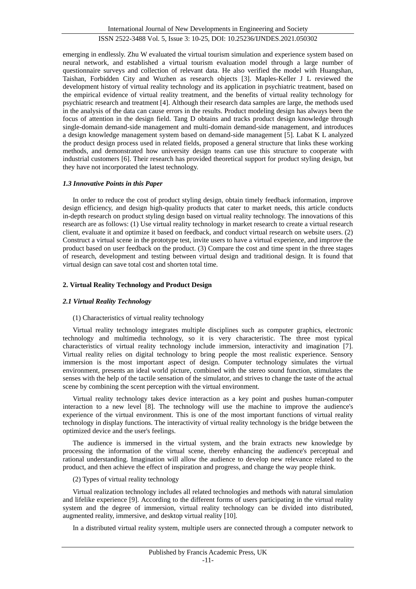emerging in endlessly. Zhu W evaluated the virtual tourism simulation and experience system based on neural network, and established a virtual tourism evaluation model through a large number of questionnaire surveys and collection of relevant data. He also verified the model with Huangshan, Taishan, Forbidden City and Wuzhen as research objects [3]. Maples-Keller J L reviewed the development history of virtual reality technology and its application in psychiatric treatment, based on the empirical evidence of virtual reality treatment, and the benefits of virtual reality technology for psychiatric research and treatment [4]. Although their research data samples are large, the methods used in the analysis of the data can cause errors in the results. Product modeling design has always been the focus of attention in the design field. Tang D obtains and tracks product design knowledge through single-domain demand-side management and multi-domain demand-side management, and introduces a design knowledge management system based on demand-side management [5]. Labat K L analyzed the product design process used in related fields, proposed a general structure that links these working methods, and demonstrated how university design teams can use this structure to cooperate with industrial customers [6]. Their research has provided theoretical support for product styling design, but they have not incorporated the latest technology.

### *1.3 Innovative Points in this Paper*

In order to reduce the cost of product styling design, obtain timely feedback information, improve design efficiency, and design high-quality products that cater to market needs, this article conducts in-depth research on product styling design based on virtual reality technology. The innovations of this research are as follows: (1) Use virtual reality technology in market research to create a virtual research client, evaluate it and optimize it based on feedback, and conduct virtual research on website users. (2) Construct a virtual scene in the prototype test, invite users to have a virtual experience, and improve the product based on user feedback on the product. (3) Compare the cost and time spent in the three stages of research, development and testing between virtual design and traditional design. It is found that virtual design can save total cost and shorten total time.

## **2. Virtual Reality Technology and Product Design**

### *2.1 Virtual Reality Technology*

### (1) Characteristics of virtual reality technology

Virtual reality technology integrates multiple disciplines such as computer graphics, electronic technology and multimedia technology, so it is very characteristic. The three most typical characteristics of virtual reality technology include immersion, interactivity and imagination [7]. Virtual reality relies on digital technology to bring people the most realistic experience. Sensory immersion is the most important aspect of design. Computer technology simulates the virtual environment, presents an ideal world picture, combined with the stereo sound function, stimulates the senses with the help of the tactile sensation of the simulator, and strives to change the taste of the actual scene by combining the scent perception with the virtual environment.

Virtual reality technology takes device interaction as a key point and pushes human-computer interaction to a new level [8]. The technology will use the machine to improve the audience's experience of the virtual environment. This is one of the most important functions of virtual reality technology in display functions. The interactivity of virtual reality technology is the bridge between the optimized device and the user's feelings.

The audience is immersed in the virtual system, and the brain extracts new knowledge by processing the information of the virtual scene, thereby enhancing the audience's perceptual and rational understanding. Imagination will allow the audience to develop new relevance related to the product, and then achieve the effect of inspiration and progress, and change the way people think.

### (2) Types of virtual reality technology

Virtual realization technology includes all related technologies and methods with natural simulation and lifelike experience [9]. According to the different forms of users participating in the virtual reality system and the degree of immersion, virtual reality technology can be divided into distributed, augmented reality, immersive, and desktop virtual reality [10].

In a distributed virtual reality system, multiple users are connected through a computer network to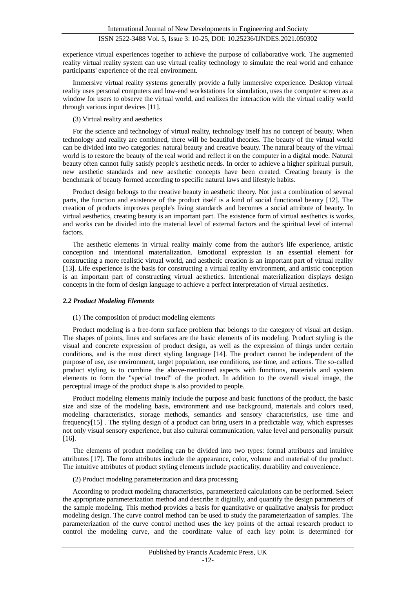experience virtual experiences together to achieve the purpose of collaborative work. The augmented reality virtual reality system can use virtual reality technology to simulate the real world and enhance participants' experience of the real environment.

Immersive virtual reality systems generally provide a fully immersive experience. Desktop virtual reality uses personal computers and low-end workstations for simulation, uses the computer screen as a window for users to observe the virtual world, and realizes the interaction with the virtual reality world through various input devices [11].

### (3) Virtual reality and aesthetics

For the science and technology of virtual reality, technology itself has no concept of beauty. When technology and reality are combined, there will be beautiful theories. The beauty of the virtual world can be divided into two categories: natural beauty and creative beauty. The natural beauty of the virtual world is to restore the beauty of the real world and reflect it on the computer in a digital mode. Natural beauty often cannot fully satisfy people's aesthetic needs. In order to achieve a higher spiritual pursuit, new aesthetic standards and new aesthetic concepts have been created. Creating beauty is the benchmark of beauty formed according to specific natural laws and lifestyle habits.

Product design belongs to the creative beauty in aesthetic theory. Not just a combination of several parts, the function and existence of the product itself is a kind of social functional beauty [12]. The creation of products improves people's living standards and becomes a social attribute of beauty. In virtual aesthetics, creating beauty is an important part. The existence form of virtual aesthetics is works, and works can be divided into the material level of external factors and the spiritual level of internal factors.

The aesthetic elements in virtual reality mainly come from the author's life experience, artistic conception and intentional materialization. Emotional expression is an essential element for constructing a more realistic virtual world, and aesthetic creation is an important part of virtual reality [13]. Life experience is the basis for constructing a virtual reality environment, and artistic conception is an important part of constructing virtual aesthetics. Intentional materialization displays design concepts in the form of design language to achieve a perfect interpretation of virtual aesthetics.

### *2.2 Product Modeling Elements*

### (1) The composition of product modeling elements

Product modeling is a free-form surface problem that belongs to the category of visual art design. The shapes of points, lines and surfaces are the basic elements of its modeling. Product styling is the visual and concrete expression of product design, as well as the expression of things under certain conditions, and is the most direct styling language [14]. The product cannot be independent of the purpose of use, use environment, target population, use conditions, use time, and actions. The so-called product styling is to combine the above-mentioned aspects with functions, materials and system elements to form the "special trend" of the product. In addition to the overall visual image, the perceptual image of the product shape is also provided to people.

Product modeling elements mainly include the purpose and basic functions of the product, the basic size and size of the modeling basis, environment and use background, materials and colors used, modeling characteristics, storage methods, semantics and sensory characteristics, use time and frequency[15] . The styling design of a product can bring users in a predictable way, which expresses not only visual sensory experience, but also cultural communication, value level and personality pursuit [16].

The elements of product modeling can be divided into two types: formal attributes and intuitive attributes [17]. The form attributes include the appearance, color, volume and material of the product. The intuitive attributes of product styling elements include practicality, durability and convenience.

## (2) Product modeling parameterization and data processing

According to product modeling characteristics, parameterized calculations can be performed. Select the appropriate parameterization method and describe it digitally, and quantify the design parameters of the sample modeling. This method provides a basis for quantitative or qualitative analysis for product modeling design. The curve control method can be used to study the parameterization of samples. The parameterization of the curve control method uses the key points of the actual research product to control the modeling curve, and the coordinate value of each key point is determined for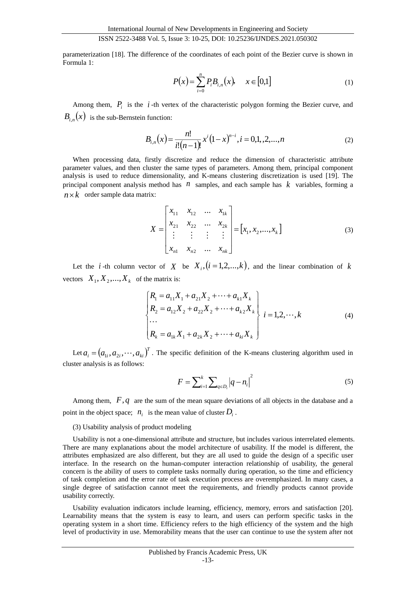parameterization [18]. The difference of the coordinates of each point of the Bezier curve is shown in Formula 1:

$$
P(x) = \sum_{i=0}^{n} P_i B_{i,n}(x), \quad x \in [0,1]
$$
 (1)

Among them,  $P_i$  is the *i*-th vertex of the characteristic polygon forming the Bezier curve, and  $B_{i,n}(x)$  is the sub-Bernstein function:

$$
B_{i,n}(x) = \frac{n!}{i!(n-1)!} x^{i} (1-x)^{n-i}, i = 0,1,2,...,n
$$
 (2)

When processing data, firstly discretize and reduce the dimension of characteristic attribute parameter values, and then cluster the same types of parameters. Among them, principal component analysis is used to reduce dimensionality, and K-means clustering discretization is used [19]. The principal component analysis method has  $n$  samples, and each sample has  $k$  variables, forming a  $n \times k$  order sample data matrix:

$$
X = \begin{bmatrix} x_{11} & x_{12} & \dots & x_{1k} \\ x_{21} & x_{22} & \dots & x_{2k} \\ \vdots & \vdots & \vdots & \vdots \\ x_{n1} & x_{n2} & \dots & x_{nk} \end{bmatrix} = [x_1, x_2, \dots, x_k]
$$
 (3)

Let the *i*-th column vector of  $X$  be  $X_i$ ,  $(i=1,2,...,k)$ , and the linear combination of k vectors  $X_1, X_2, ..., X_k$  of the matrix is:

$$
\begin{cases}\nR_1 = a_{11}X_1 + a_{21}X_2 + \dots + a_{k1}X_k \\
R_2 = a_{12}X_2 + a_{22}X_2 + \dots + a_{k2}X_k \\
\dots \\
R_k = a_{1k}X_1 + a_{2k}X_2 + \dots + a_{ki}X_k\n\end{cases}
$$
\n(4)

Let  $a_i = (a_{1i}, a_{2i}, \dots, a_{ki})^T$ . The specific definition of the K-means clustering algorithm used in cluster analysis is as follows:

$$
F = \sum_{i=1}^{k} \sum_{q \in D_i} |q - n_i|^2
$$
 (5)

Among them,  $F, q$  are the sum of the mean square deviations of all objects in the database and a point in the object space;  $n_i$  is the mean value of cluster  $D_i$ .

#### (3) Usability analysis of product modeling

Usability is not a one-dimensional attribute and structure, but includes various interrelated elements. There are many explanations about the model architecture of usability. If the model is different, the attributes emphasized are also different, but they are all used to guide the design of a specific user interface. In the research on the human-computer interaction relationship of usability, the general concern is the ability of users to complete tasks normally during operation, so the time and efficiency of task completion and the error rate of task execution process are overemphasized. In many cases, a single degree of satisfaction cannot meet the requirements, and friendly products cannot provide usability correctly.

Usability evaluation indicators include learning, efficiency, memory, errors and satisfaction [20]. Learnability means that the system is easy to learn, and users can perform specific tasks in the operating system in a short time. Efficiency refers to the high efficiency of the system and the high level of productivity in use. Memorability means that the user can continue to use the system after not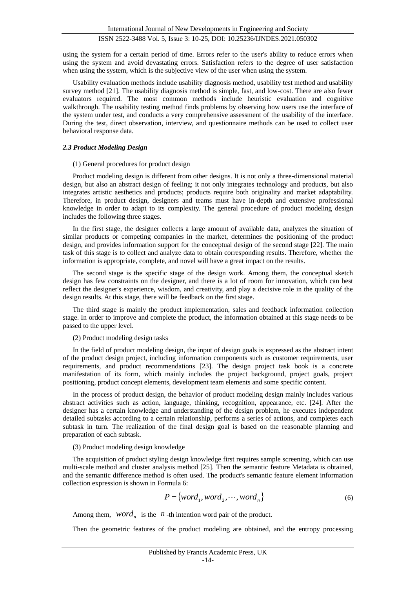using the system for a certain period of time. Errors refer to the user's ability to reduce errors when using the system and avoid devastating errors. Satisfaction refers to the degree of user satisfaction when using the system, which is the subjective view of the user when using the system.

Usability evaluation methods include usability diagnosis method, usability test method and usability survey method [21]. The usability diagnosis method is simple, fast, and low-cost. There are also fewer evaluators required. The most common methods include heuristic evaluation and cognitive walkthrough. The usability testing method finds problems by observing how users use the interface of the system under test, and conducts a very comprehensive assessment of the usability of the interface. During the test, direct observation, interview, and questionnaire methods can be used to collect user behavioral response data.

#### *2.3 Product Modeling Design*

#### (1) General procedures for product design

Product modeling design is different from other designs. It is not only a three-dimensional material design, but also an abstract design of feeling; it not only integrates technology and products, but also integrates artistic aesthetics and products; products require both originality and market adaptability. Therefore, in product design, designers and teams must have in-depth and extensive professional knowledge in order to adapt to its complexity. The general procedure of product modeling design includes the following three stages.

In the first stage, the designer collects a large amount of available data, analyzes the situation of similar products or competing companies in the market, determines the positioning of the product design, and provides information support for the conceptual design of the second stage [22]. The main task of this stage is to collect and analyze data to obtain corresponding results. Therefore, whether the information is appropriate, complete, and novel will have a great impact on the results.

The second stage is the specific stage of the design work. Among them, the conceptual sketch design has few constraints on the designer, and there is a lot of room for innovation, which can best reflect the designer's experience, wisdom, and creativity, and play a decisive role in the quality of the design results. At this stage, there will be feedback on the first stage.

The third stage is mainly the product implementation, sales and feedback information collection stage. In order to improve and complete the product, the information obtained at this stage needs to be passed to the upper level.

#### (2) Product modeling design tasks

In the field of product modeling design, the input of design goals is expressed as the abstract intent of the product design project, including information components such as customer requirements, user requirements, and product recommendations [23]. The design project task book is a concrete manifestation of its form, which mainly includes the project background, project goals, project positioning, product concept elements, development team elements and some specific content.

In the process of product design, the behavior of product modeling design mainly includes various abstract activities such as action, language, thinking, recognition, appearance, etc. [24]. After the designer has a certain knowledge and understanding of the design problem, he executes independent detailed subtasks according to a certain relationship, performs a series of actions, and completes each subtask in turn. The realization of the final design goal is based on the reasonable planning and preparation of each subtask.

#### (3) Product modeling design knowledge

The acquisition of product styling design knowledge first requires sample screening, which can use multi-scale method and cluster analysis method [25]. Then the semantic feature Metadata is obtained, and the semantic difference method is often used. The product's semantic feature element information collection expression is shown in Formula 6:

$$
P = \{word_1, word_2, \cdots, word_n\}
$$
 (6)

Among them,  $word_n$  is the *n*-th intention word pair of the product.

Then the geometric features of the product modeling are obtained, and the entropy processing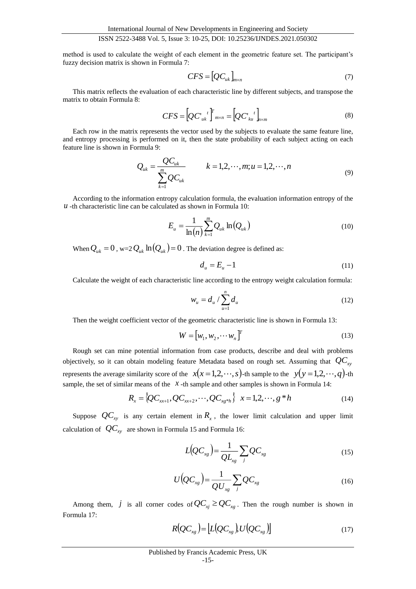method is used to calculate the weight of each element in the geometric feature set. The participant's fuzzy decision matrix is shown in Formula 7:

$$
CFS = [QC_{uk}]_{m \times n} \tag{7}
$$

This matrix reflects the evaluation of each characteristic line by different subjects, and transpose the matrix to obtain Formula 8:

$$
CFS = [QC'_{uk}^{\ \ t}]_{m \times n}^{\ \ T} = [QC'_{ku}^{\ \ t}]_{n \times m}
$$
 (8)

Each row in the matrix represents the vector used by the subjects to evaluate the same feature line, and entropy processing is performed on it, then the state probability of each subject acting on each feature line is shown in Formula 9:

$$
Q_{uk} = \frac{QC_{uk}}{\sum_{k=1}^{m} QC_{uk}} \qquad k = 1, 2, \cdots, m; u = 1, 2, \cdots, n
$$
\n(9)

According to the information entropy calculation formula, the evaluation information entropy of the  *-th characteristic line can be calculated as shown in Formula 10:* 

$$
E_{u} = \frac{1}{\ln(n)} \sum_{k=1}^{m} Q_{uk} \ln(Q_{uk})
$$
\n(10)

When  $Q_{uk} = 0$ , w=2 $Q_{uk}$  ln $(Q_{uk}) = 0$ . The deviation degree is defined as:

$$
d_u = E_u - 1 \tag{11}
$$

Calculate the weight of each characteristic line according to the entropy weight calculation formula:

$$
w_u = d_u / \sum_{u=1}^n d_u \tag{12}
$$

Then the weight coefficient vector of the geometric characteristic line is shown in Formula 13:

$$
W = \begin{bmatrix} w_1, w_2, \cdots w_n \end{bmatrix}^T
$$
 (13)

Rough set can mine potential information from case products, describe and deal with problems objectively, so it can obtain modeling feature Metadata based on rough set. Assuming that *QCxy* represents the average similarity score of the  $x(x=1,2,\dots,s)$ -th sample to the  $y(y=1,2,\dots,q)$ -th sample, the set of similar means of the  $\chi$ -th sample and other samples is shown in Formula 14:

$$
R_x = \{QC_{xx+1}, QC_{xx+2}, \cdots, QC_{xy*h}\} \quad x = 1, 2, \cdots, g*h
$$
 (14)

Suppose  $QC_{xy}$  is any certain element in  $R_x$ , the lower limit calculation and upper limit calculation of  $\mathit{QC}_{xy}$  are shown in Formula 15 and Formula 16:

$$
L\big(QC_{\scriptscriptstyle xg}\big) = \frac{1}{QL_{\scriptscriptstyle xg}} \sum_{j} QC_{\scriptscriptstyle xg} \tag{15}
$$

$$
U\left(QC_{xg}\right) = \frac{1}{QU_{xg}} \sum_{j} QC_{xg} \tag{16}
$$

Among them,  $j$  is all corner codes of  $QC_{xj} \ge QC_{xg}$ . Then the rough number is shown in Formula 17:

$$
R[QC_{xg}) = \left[ L[QC_{xg}], U[QC_{xg}]\right]
$$
\n(17)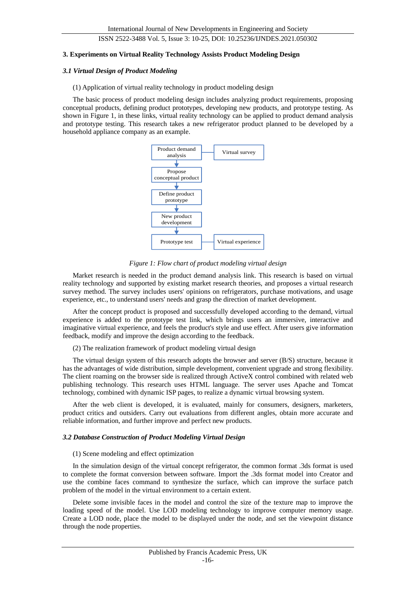#### **3. Experiments on Virtual Reality Technology Assists Product Modeling Design**

#### *3.1 Virtual Design of Product Modeling*

#### (1) Application of virtual reality technology in product modeling design

The basic process of product modeling design includes analyzing product requirements, proposing conceptual products, defining product prototypes, developing new products, and prototype testing. As shown in Figure 1, in these links, virtual reality technology can be applied to product demand analysis and prototype testing. This research takes a new refrigerator product planned to be developed by a household appliance company as an example.



*Figure 1: Flow chart of product modeling virtual design*

Market research is needed in the product demand analysis link. This research is based on virtual reality technology and supported by existing market research theories, and proposes a virtual research survey method. The survey includes users' opinions on refrigerators, purchase motivations, and usage experience, etc., to understand users' needs and grasp the direction of market development.

After the concept product is proposed and successfully developed according to the demand, virtual experience is added to the prototype test link, which brings users an immersive, interactive and imaginative virtual experience, and feels the product's style and use effect. After users give information feedback, modify and improve the design according to the feedback.

#### (2) The realization framework of product modeling virtual design

The virtual design system of this research adopts the browser and server (B/S) structure, because it has the advantages of wide distribution, simple development, convenient upgrade and strong flexibility. The client roaming on the browser side is realized through ActiveX control combined with related web publishing technology. This research uses HTML language. The server uses Apache and Tomcat technology, combined with dynamic ISP pages, to realize a dynamic virtual browsing system.

After the web client is developed, it is evaluated, mainly for consumers, designers, marketers, product critics and outsiders. Carry out evaluations from different angles, obtain more accurate and reliable information, and further improve and perfect new products.

#### *3.2 Database Construction of Product Modeling Virtual Design*

#### (1) Scene modeling and effect optimization

In the simulation design of the virtual concept refrigerator, the common format .3ds format is used to complete the format conversion between software. Import the .3ds format model into Creator and use the combine faces command to synthesize the surface, which can improve the surface patch problem of the model in the virtual environment to a certain extent.

Delete some invisible faces in the model and control the size of the texture map to improve the loading speed of the model. Use LOD modeling technology to improve computer memory usage. Create a LOD node, place the model to be displayed under the node, and set the viewpoint distance through the node properties.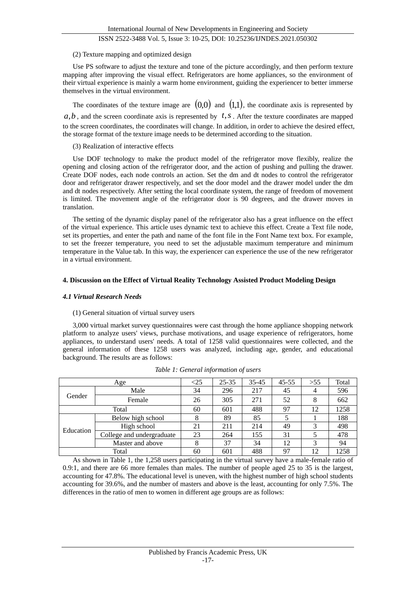## (2) Texture mapping and optimized design

Use PS software to adjust the texture and tone of the picture accordingly, and then perform texture mapping after improving the visual effect. Refrigerators are home appliances, so the environment of their virtual experience is mainly a warm home environment, guiding the experiencer to better immerse themselves in the virtual environment.

The coordinates of the texture image are  $(0,0)$  and  $(1,1)$ , the coordinate axis is represented by

 $a,b$ , and the screen coordinate axis is represented by  $t, s$ . After the texture coordinates are mapped to the screen coordinates, the coordinates will change. In addition, in order to achieve the desired effect, the storage format of the texture image needs to be determined according to the situation.

(3) Realization of interactive effects

Use DOF technology to make the product model of the refrigerator move flexibly, realize the opening and closing action of the refrigerator door, and the action of pushing and pulling the drawer. Create DOF nodes, each node controls an action. Set the dm and dt nodes to control the refrigerator door and refrigerator drawer respectively, and set the door model and the drawer model under the dm and dt nodes respectively. After setting the local coordinate system, the range of freedom of movement is limited. The movement angle of the refrigerator door is 90 degrees, and the drawer moves in translation.

The setting of the dynamic display panel of the refrigerator also has a great influence on the effect of the virtual experience. This article uses dynamic text to achieve this effect. Create a Text file node, set its properties, and enter the path and name of the font file in the Font Name text box. For example, to set the freezer temperature, you need to set the adjustable maximum temperature and minimum temperature in the Value tab. In this way, the experiencer can experience the use of the new refrigerator in a virtual environment.

## **4. Discussion on the Effect of Virtual Reality Technology Assisted Product Modeling Design**

## *4.1 Virtual Research Needs*

### (1) General situation of virtual survey users

3,000 virtual market survey questionnaires were cast through the home appliance shopping network platform to analyze users' views, purchase motivations, and usage experience of refrigerators, home appliances, to understand users' needs. A total of 1258 valid questionnaires were collected, and the general information of these 1258 users was analyzed, including age, gender, and educational background. The results are as follows:

|           | Age                       | $< \! \! 25$ | $25 - 35$ | $35 - 45$ | $45 - 55$ | >55 | Total |
|-----------|---------------------------|--------------|-----------|-----------|-----------|-----|-------|
| Gender    | Male                      | 34           | 296       | 217       | 45        | 4   | 596   |
|           | Female                    | 26           | 305       | 271       | 52        | 8   | 662   |
|           | Total                     | 60           | 601       | 488       | 97        | 12  | 1258  |
| Education | Below high school         | 8            | 89        | 85        |           |     | 188   |
|           | High school               | 21           | 211       | 214       | 49        | 3   | 498   |
|           | College and undergraduate | 23           | 264       | 155       | 31        |     | 478   |
|           | Master and above          | 8            | 37        | 34        | 12        | 3   | 94    |
|           | Total                     | 60           | 601       | 488       | 97        | 12  | 1258  |

*Table 1: General information of users*

As shown in Table 1, the 1,258 users participating in the virtual survey have a male-female ratio of 0.9:1, and there are 66 more females than males. The number of people aged 25 to 35 is the largest, accounting for 47.8%. The educational level is uneven, with the highest number of high school students accounting for 39.6%, and the number of masters and above is the least, accounting for only 7.5%. The differences in the ratio of men to women in different age groups are as follows: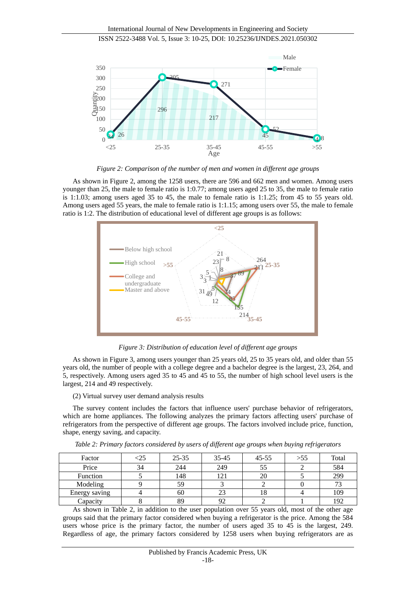

*Figure 2: Comparison of the number of men and women in different age groups*

As shown in Figure 2, among the 1258 users, there are 596 and 662 men and women. Among users younger than 25, the male to female ratio is 1:0.77; among users aged 25 to 35, the male to female ratio is 1:1.03; among users aged 35 to 45, the male to female ratio is 1:1.25; from 45 to 55 years old. Among users aged 55 years, the male to female ratio is 1:1.15; among users over 55, the male to female ratio is 1:2. The distribution of educational level of different age groups is as follows:



*Figure 3: Distribution of education level of different age groups*

As shown in Figure 3, among users younger than 25 years old, 25 to 35 years old, and older than 55 years old, the number of people with a college degree and a bachelor degree is the largest, 23, 264, and 5, respectively. Among users aged 35 to 45 and 45 to 55, the number of high school level users is the largest, 214 and 49 respectively.

(2) Virtual survey user demand analysis results

The survey content includes the factors that influence users' purchase behavior of refrigerators, which are home appliances. The following analyzes the primary factors affecting users' purchase of refrigerators from the perspective of different age groups. The factors involved include price, function, shape, energy saving, and capacity.

| Factor        | :25 | $25 - 35$ | $35 - 45$ | 45-55 | >55 | Total |
|---------------|-----|-----------|-----------|-------|-----|-------|
| Price         | 34  | 244       | 249       | ככ    |     | 584   |
| Function      |     | 148       |           | 20    |     | 299   |
| Modeling      |     | 59        |           |       |     | 73    |
| Energy saving |     | 60        | 23        |       |     | 109   |
| Capacity      |     | 89        | Q٥        |       |     | 192   |

*Table 2: Primary factors considered by users of different age groups when buying refrigerators*

As shown in Table 2, in addition to the user population over 55 years old, most of the other age groups said that the primary factor considered when buying a refrigerator is the price. Among the 584 users whose price is the primary factor, the number of users aged 35 to 45 is the largest, 249. Regardless of age, the primary factors considered by 1258 users when buying refrigerators are as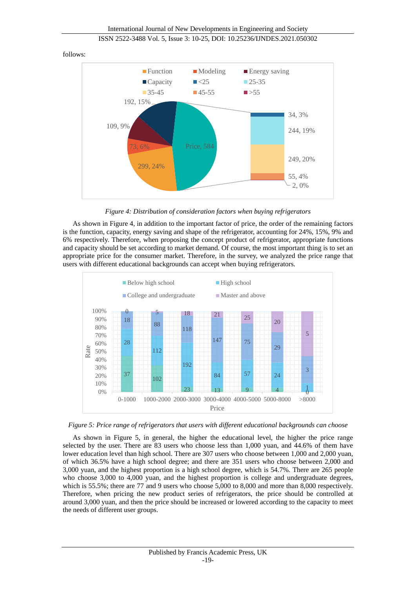

#### follows:

*Figure 4: Distribution of consideration factors when buying refrigerators*

As shown in Figure 4, in addition to the important factor of price, the order of the remaining factors is the function, capacity, energy saving and shape of the refrigerator, accounting for 24%, 15%, 9% and 6% respectively. Therefore, when proposing the concept product of refrigerator, appropriate functions and capacity should be set according to market demand. Of course, the most important thing is to set an appropriate price for the consumer market. Therefore, in the survey, we analyzed the price range that users with different educational backgrounds can accept when buying refrigerators.



*Figure 5: Price range of refrigerators that users with different educational backgrounds can choose*

As shown in Figure 5, in general, the higher the educational level, the higher the price range selected by the user. There are 83 users who choose less than 1,000 yuan, and 44.6% of them have lower education level than high school. There are 307 users who choose between 1,000 and 2,000 yuan, of which 36.5% have a high school degree; and there are 351 users who choose between 2,000 and 3,000 yuan, and the highest proportion is a high school degree, which is 54.7%. There are 265 people who choose 3,000 to 4,000 yuan, and the highest proportion is college and undergraduate degrees, which is 55.5%; there are 77 and 9 users who choose 5,000 to 8,000 and more than 8,000 respectively. Therefore, when pricing the new product series of refrigerators, the price should be controlled at around 3,000 yuan, and then the price should be increased or lowered according to the capacity to meet the needs of different user groups.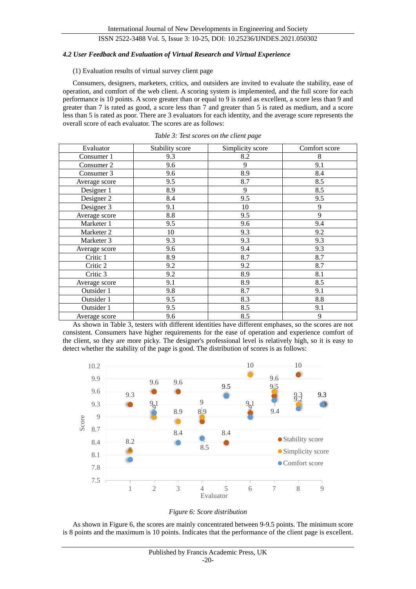#### *4.2 User Feedback and Evaluation of Virtual Research and Virtual Experience*

#### (1) Evaluation results of virtual survey client page

Consumers, designers, marketers, critics, and outsiders are invited to evaluate the stability, ease of operation, and comfort of the web client. A scoring system is implemented, and the full score for each performance is 10 points. A score greater than or equal to 9 is rated as excellent, a score less than 9 and greater than 7 is rated as good, a score less than 7 and greater than 5 is rated as medium, and a score less than 5 is rated as poor. There are 3 evaluators for each identity, and the average score represents the overall score of each evaluator. The scores are as follows:

| Evaluator     | Stability score | Simplicity score | Comfort score |  |
|---------------|-----------------|------------------|---------------|--|
| Consumer 1    | 9.3             | 8.2              | 8             |  |
| Consumer 2    | 9.6             | 9                | 9.1           |  |
| Consumer 3    | 9.6             | 8.9              | 8.4           |  |
| Average score | 9.5             | 8.7              | 8.5           |  |
| Designer 1    | 8.9             | 9                | 8.5           |  |
| Designer 2    | 8.4             | 9.5              | 9.5           |  |
| Designer 3    | 9.1             | 10               | 9             |  |
| Average score | 8.8             | 9.5              | 9             |  |
| Marketer 1    | 9.5             | 9.6              | 9.4           |  |
| Marketer 2    | 10              | 9.3              | 9.2           |  |
| Marketer 3    | 9.3             | 9.3              | 9.3           |  |
| Average score | 9.6             | 9.4              | 9.3           |  |
| Critic 1      | 8.9             | 8.7              | 8.7           |  |
| Critic 2      | 9.2             | 9.2              | 8.7           |  |
| Critic 3      | 9.2             | 8.9              | 8.1           |  |
| Average score | 9.1             | 8.9              | 8.5           |  |
| Outsider 1    | 9.8             | 8.7              | 9.1           |  |
| Outsider 1    | 9.5             | 8.3              | 8.8           |  |
| Outsider 1    | 9.5             | 8.5              | 9.1           |  |
| Average score | 9.6             | 8.5              | 9             |  |

*Table 3: Test scores on the client page*

As shown in Table 3, testers with different identities have different emphases, so the scores are not consistent. Consumers have higher requirements for the ease of operation and experience comfort of the client, so they are more picky. The designer's professional level is relatively high, so it is easy to detect whether the stability of the page is good. The distribution of scores is as follows:



#### *Figure 6: Score distribution*

As shown in Figure 6, the scores are mainly concentrated between 9-9.5 points. The minimum score is 8 points and the maximum is 10 points. Indicates that the performance of the client page is excellent.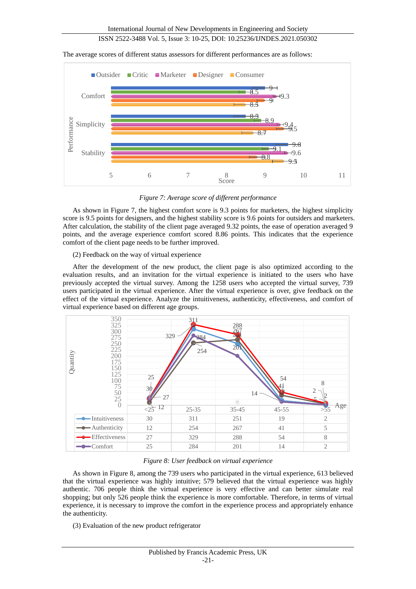The average scores of different status assessors for different performances are as follows:



*Figure 7: Average score of different performance*

As shown in Figure 7, the highest comfort score is 9.3 points for marketers, the highest simplicity score is 9.5 points for designers, and the highest stability score is 9.6 points for outsiders and marketers. After calculation, the stability of the client page averaged 9.32 points, the ease of operation averaged 9 points, and the average experience comfort scored 8.86 points. This indicates that the experience comfort of the client page needs to be further improved.

### (2) Feedback on the way of virtual experience

After the development of the new product, the client page is also optimized according to the evaluation results, and an invitation for the virtual experience is initiated to the users who have previously accepted the virtual survey. Among the 1258 users who accepted the virtual survey, 739 users participated in the virtual experience. After the virtual experience is over, give feedback on the effect of the virtual experience. Analyze the intuitiveness, authenticity, effectiveness, and comfort of virtual experience based on different age groups.



*Figure 8: User feedback on virtual experience*

As shown in Figure 8, among the 739 users who participated in the virtual experience, 613 believed that the virtual experience was highly intuitive; 579 believed that the virtual experience was highly authentic. 706 people think the virtual experience is very effective and can better simulate real shopping; but only 526 people think the experience is more comfortable. Therefore, in terms of virtual experience, it is necessary to improve the comfort in the experience process and appropriately enhance the authenticity.

(3) Evaluation of the new product refrigerator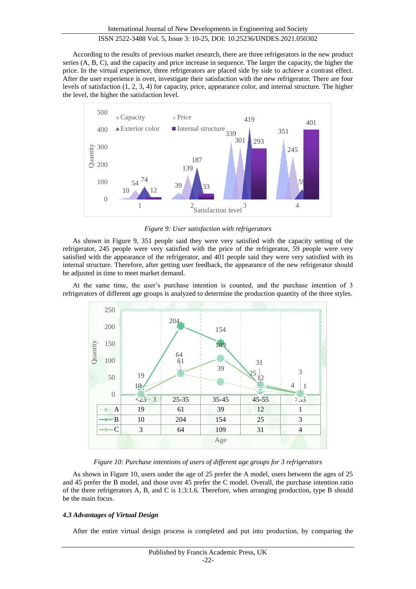According to the results of previous market research, there are three refrigerators in the new product series (A, B, C), and the capacity and price increase in sequence. The larger the capacity, the higher the price. In the virtual experience, three refrigerators are placed side by side to achieve a contrast effect. After the user experience is over, investigate their satisfaction with the new refrigerator. There are four levels of satisfaction (1, 2, 3, 4) for capacity, price, appearance color, and internal structure. The higher the level, the higher the satisfaction level.



*Figure 9: User satisfaction with refrigerators*

As shown in Figure 9, 351 people said they were very satisfied with the capacity setting of the refrigerator, 245 people were very satisfied with the price of the refrigerator, 59 people were very satisfied with the appearance of the refrigerator, and 401 people said they were very satisfied with its internal structure. Therefore, after getting user feedback, the appearance of the new refrigerator should be adjusted in time to meet market demand.

At the same time, the user's purchase intention is counted, and the purchase intention of 3 refrigerators of different age groups is analyzed to determine the production quantity of the three styles.



*Figure 10: Purchase intentions of users of different age groups for 3 refrigerators*

As shown in Figure 10, users under the age of 25 prefer the A model, users between the ages of 25 and 45 prefer the B model, and those over 45 prefer the C model. Overall, the purchase intention ratio of the three refrigerators A, B, and C is 1:3:1.6. Therefore, when arranging production, type B should be the main focus.

## *4.3 Advantages of Virtual Design*

After the entire virtual design process is completed and put into production, by comparing the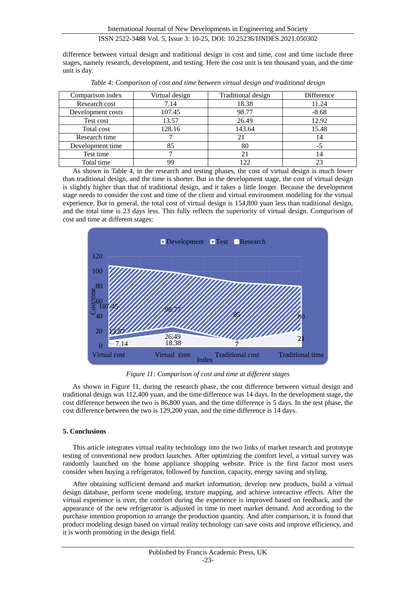difference between virtual design and traditional design in cost and time, cost and time include three stages, namely research, development, and testing. Here the cost unit is ten thousand yuan, and the time unit is day.

| Comparison index  | Virtual design | Traditional design | Difference |  |
|-------------------|----------------|--------------------|------------|--|
| Research cost     | 7.14           | 18.38              | 11.24      |  |
| Development costs | 107.45         | 98.77              | $-8.68$    |  |
| Test cost         | 13.57          | 26.49              | 12.92      |  |
| Total cost        | 128.16         | 143.64             | 15.48      |  |
| Research time     |                | 21                 | 14         |  |
| Development time  | 85             | 80                 | -3         |  |
| Test time         |                | 21                 | 14         |  |
| Total time        | 99             | 122                |            |  |

*Table 4: Comparison of cost and time between virtual design and traditional design*

As shown in Table 4, in the research and testing phases, the cost of virtual design is much lower than traditional design, and the time is shorter. But in the development stage, the cost of virtual design is slightly higher than that of traditional design, and it takes a little longer. Because the development stage needs to consider the cost and time of the client and virtual environment modeling for the virtual experience. But in general, the total cost of virtual design is 154,800 yuan less than traditional design, and the total time is 23 days less. This fully reflects the superiority of virtual design. Comparison of cost and time at different stages:



*Figure 11: Comparison of cost and time at different stages*

As shown in Figure 11, during the research phase, the cost difference between virtual design and traditional design was 112,400 yuan, and the time difference was 14 days. In the development stage, the cost difference between the two is 86,800 yuan, and the time difference is 5 days. In the test phase, the cost difference between the two is 129,200 yuan, and the time difference is 14 days.

## **5. Conclusions**

This article integrates virtual reality technology into the two links of market research and prototype testing of conventional new product launches. After optimizing the comfort level, a virtual survey was randomly launched on the home appliance shopping website. Price is the first factor most users consider when buying a refrigerator, followed by function, capacity, energy saving and styling.

After obtaining sufficient demand and market information, develop new products, build a virtual design database, perform scene modeling, texture mapping, and achieve interactive effects. After the virtual experience is over, the comfort during the experience is improved based on feedback, and the appearance of the new refrigerator is adjusted in time to meet market demand. And according to the purchase intention proportion to arrange the production quantity. And after comparison, it is found that product modeling design based on virtual reality technology can save costs and improve efficiency, and it is worth promoting in the design field.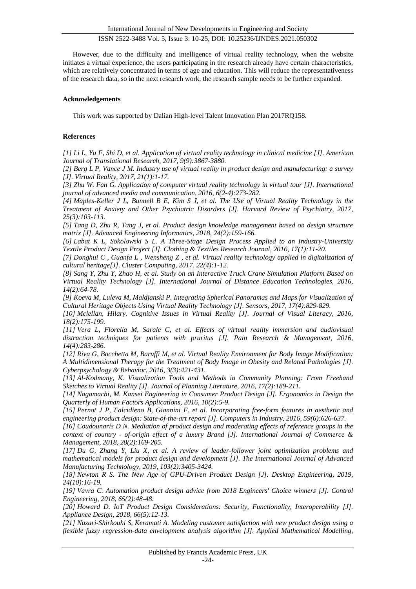However, due to the difficulty and intelligence of virtual reality technology, when the website initiates a virtual experience, the users participating in the research already have certain characteristics, which are relatively concentrated in terms of age and education. This will reduce the representativeness of the research data, so in the next research work, the research sample needs to be further expanded.

## **Acknowledgements**

This work was supported by Dalian High-level Talent Innovation Plan 2017RQ158.

## **References**

*[1] Li L, Yu F, Shi D, et al. Application of virtual reality technology in clinical medicine [J]. American Journal of Translational Research, 2017, 9(9):3867-3880.*

*[2] Berg L P, Vance J M. Industry use of virtual reality in product design and manufacturing: a survey [J]. Virtual Reality, 2017, 21(1):1-17.*

*[3] Zhu W, Fan G. Application of computer virtual reality technology in virtual tour [J]. International journal of advanced media and communication, 2016, 6(2-4):273-282.*

*[4] Maples-Keller J L, Bunnell B E, Kim S J, et al. The Use of Virtual Reality Technology in the Treatment of Anxiety and Other Psychiatric Disorders [J]. Harvard Review of Psychiatry, 2017, 25(3):103-113.*

*[5] Tang D, Zhu R, Tang J, et al. Product design knowledge management based on design structure matrix [J]. Advanced Engineering Informatics, 2018, 24(2):159-166.*

*[6] Labat K L, Sokolowski S L. A Three-Stage Design Process Applied to an Industry-University Textile Product Design Project [J]. Clothing & Textiles Research Journal, 2016, 17(1):11-20.*

*[7] Donghui C , Guanfa L , Wensheng Z , et al. Virtual reality technology applied in digitalization of cultural heritage[J]. Cluster Computing, 2017, 22(4):1-12.*

*[8] Sang Y, Zhu Y, Zhao H, et al. Study on an Interactive Truck Crane Simulation Platform Based on Virtual Reality Technology [J]. International Journal of Distance Education Technologies, 2016, 14(2):64-78.*

*[9] Koeva M, Luleva M, Maldjanski P. Integrating Spherical Panoramas and Maps for Visualization of Cultural Heritage Objects Using Virtual Reality Technology [J]. Sensors, 2017, 17(4):829-829.*

*[10] Mclellan, Hilary. Cognitive Issues in Virtual Reality [J]. Journal of Visual Literacy, 2016, 18(2):175-199.*

*[11] Vera L, Florella M, Sarale C, et al. Effects of virtual reality immersion and audiovisual distraction techniques for patients with pruritus [J]. Pain Research & Management, 2016, 14(4):283-286.*

*[12] Riva G, Bacchetta M, Baruffi M, et al. Virtual Reality Environment for Body Image Modification: A Multidimensional Therapy for the Treatment of Body Image in Obesity and Related Pathologies [J]. Cyberpsychology & Behavior, 2016, 3(3):421-431.*

*[13] Al-Kodmany, K. Visualization Tools and Methods in Community Planning: From Freehand Sketches to Virtual Reality [J]. Journal of Planning Literature, 2016, 17(2):189-211.*

*[14] Nagamachi, M. Kansei Engineering in Consumer Product Design [J]. Ergonomics in Design the Quarterly of Human Factors Applications, 2016, 10(2):5-9.*

*[15] Pernot J P, Falcidieno B, Giannini F, et al. Incorporating free-form features in aesthetic and engineering product design: State-of-the-art report [J]. Computers in Industry, 2016, 59(6):626-637.*

*[16] Coudounaris D N. Mediation of product design and moderating effects of reference groups in the context of country - of-origin effect of a luxury Brand [J]. International Journal of Commerce & Management, 2018, 28(2):169-205.*

*[17] Du G, Zhang Y, Liu X, et al. A review of leader-follower joint optimization problems and mathematical models for product design and development [J]. The International Journal of Advanced Manufacturing Technology, 2019, 103(2):3405-3424.*

*[18] Newton R S. The New Age of GPU-Driven Product Design [J]. Desktop Engineering, 2019, 24(10):16-19.*

*[19] Vavra C. Automation product design advice from 2018 Engineers' Choice winners [J]. Control Engineering, 2018, 65(2):48-48.*

*[20] Howard D. IoT Product Design Considerations: Security, Functionality, Interoperability [J]. Appliance Design, 2018, 66(5):12-13.*

*[21] Nazari-Shirkouhi S, Keramati A. Modeling customer satisfaction with new product design using a flexible fuzzy regression-data envelopment analysis algorithm [J]. Applied Mathematical Modelling,*